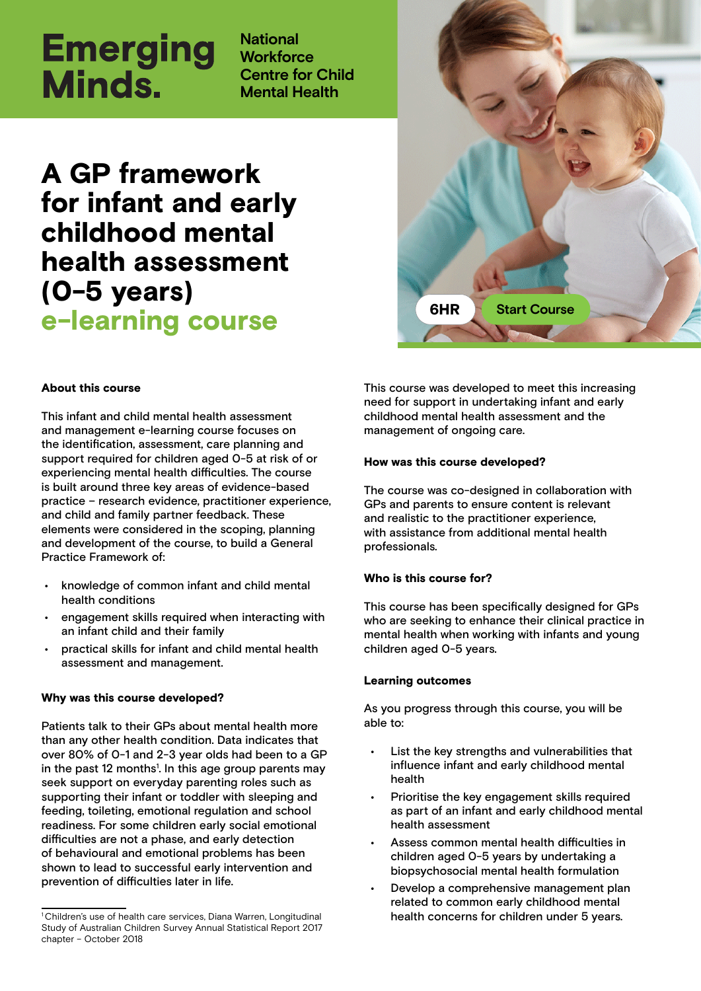# **Emerging** Minds.

**National Workforce Centre for Child Mental Health**

## A GP framework for infant and early childhood mental health assessment (0-5 years) e-learning course **[6HR](https://bit.ly/2X4zk8T)** Start Course



#### About this course

This infant and child mental health assessment and management e-learning course focuses on the identification, assessment, care planning and support required for children aged 0-5 at risk of or experiencing mental health difficulties. The course is built around three key areas of evidence-based practice – research evidence, practitioner experience, and child and family partner feedback. These elements were considered in the scoping, planning and development of the course, to build a General Practice Framework of:

- knowledge of common infant and child mental health conditions
- engagement skills required when interacting with an infant child and their family
- practical skills for infant and child mental health assessment and management.

#### Why was this course developed?

Patients talk to their GPs about mental health more than any other health condition. Data indicates that over 80% of 0-1 and 2-3 year olds had been to a GP in the past 12 months<sup>1</sup>. In this age group parents may seek support on everyday parenting roles such as supporting their infant or toddler with sleeping and feeding, toileting, emotional regulation and school readiness. For some children early social emotional difficulties are not a phase, and early detection of behavioural and emotional problems has been shown to lead to successful early intervention and prevention of difficulties later in life.

This course was developed to meet this increasing need for support in undertaking infant and early childhood mental health assessment and the management of ongoing care.

#### How was this course developed?

The course was co-designed in collaboration with GPs and parents to ensure content is relevant and realistic to the practitioner experience, with assistance from additional mental health professionals.

#### Who is this course for?

This course has been specifically designed for GPs who are seeking to enhance their clinical practice in mental health when working with infants and young children aged 0-5 years.

#### Learning outcomes

As you progress through this course, you will be able to:

- List the key strengths and vulnerabilities that influence infant and early childhood mental health
- Prioritise the key engagement skills required as part of an infant and early childhood mental health assessment
- Assess common mental health difficulties in children aged 0-5 years by undertaking a biopsychosocial mental health formulation
- Develop a comprehensive management plan related to common early childhood mental health concerns for children under 5 years.

<sup>&</sup>lt;sup>1</sup> Children's use of health care services, Diana Warren, Longitudinal Study of Australian Children Survey Annual Statistical Report 2017 chapter – October 2018